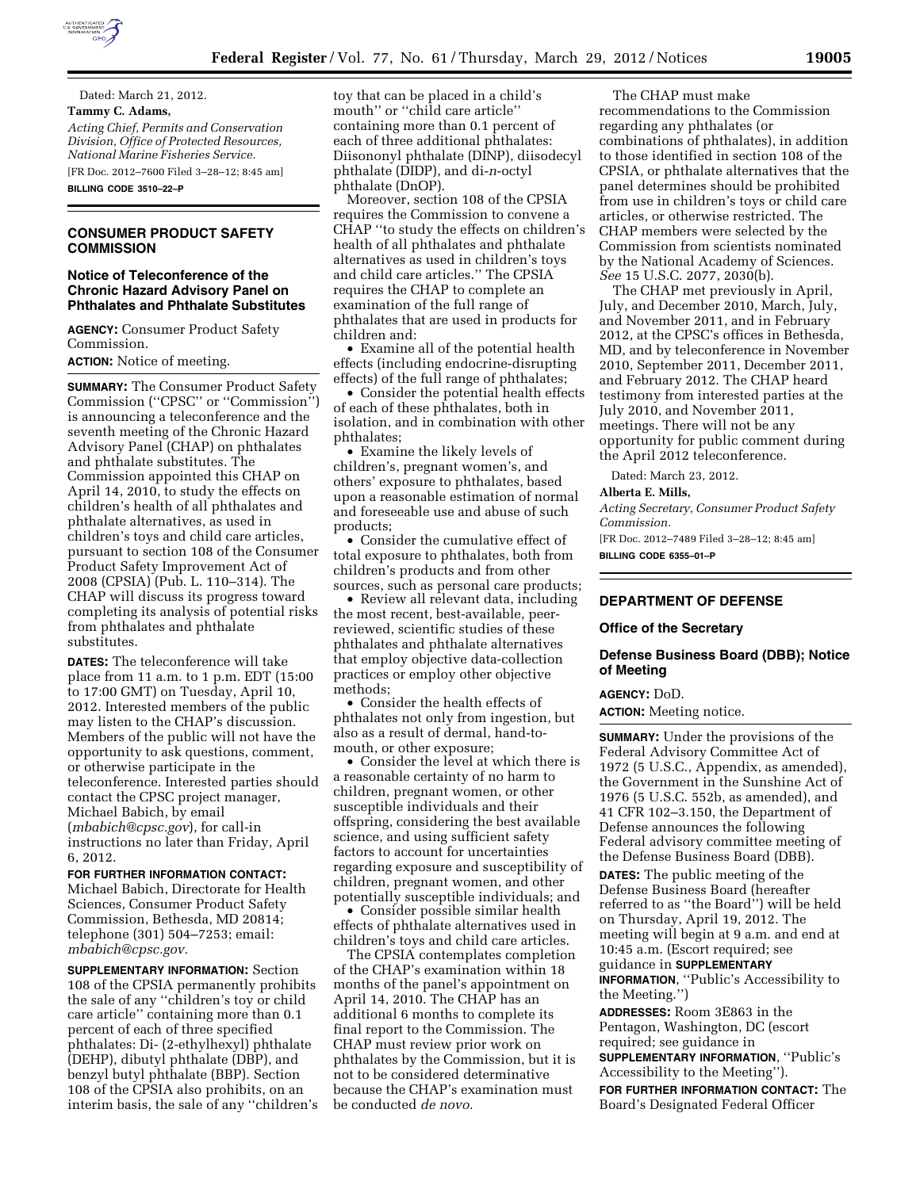

Dated: March 21, 2012. **Tammy C. Adams,**  *Acting Chief, Permits and Conservation Division, Office of Protected Resources, National Marine Fisheries Service.*  [FR Doc. 2012–7600 Filed 3–28–12; 8:45 am]

**BILLING CODE 3510–22–P** 

# **CONSUMER PRODUCT SAFETY COMMISSION**

# **Notice of Teleconference of the Chronic Hazard Advisory Panel on Phthalates and Phthalate Substitutes**

**AGENCY:** Consumer Product Safety Commission.

**ACTION:** Notice of meeting.

**SUMMARY:** The Consumer Product Safety Commission (''CPSC'' or ''Commission'') is announcing a teleconference and the seventh meeting of the Chronic Hazard Advisory Panel (CHAP) on phthalates and phthalate substitutes. The Commission appointed this CHAP on April 14, 2010, to study the effects on children's health of all phthalates and phthalate alternatives, as used in children's toys and child care articles, pursuant to section 108 of the Consumer Product Safety Improvement Act of 2008 (CPSIA) (Pub. L. 110–314). The CHAP will discuss its progress toward completing its analysis of potential risks from phthalates and phthalate substitutes.

**DATES:** The teleconference will take place from 11 a.m. to 1 p.m. EDT (15:00 to 17:00 GMT) on Tuesday, April 10, 2012. Interested members of the public may listen to the CHAP's discussion. Members of the public will not have the opportunity to ask questions, comment, or otherwise participate in the teleconference. Interested parties should contact the CPSC project manager, Michael Babich, by email (*[mbabich@cpsc.gov](mailto:mbabich@cpsc.gov)*), for call-in instructions no later than Friday, April 6, 2012.

**FOR FURTHER INFORMATION CONTACT:**  Michael Babich, Directorate for Health Sciences, Consumer Product Safety Commission, Bethesda, MD 20814; telephone (301) 504–7253; email: *[mbabich@cpsc.gov.](mailto:mbabich@cpsc.gov)* 

**SUPPLEMENTARY INFORMATION:** Section 108 of the CPSIA permanently prohibits the sale of any ''children's toy or child care article'' containing more than 0.1 percent of each of three specified phthalates: Di- (2-ethylhexyl) phthalate (DEHP), dibutyl phthalate (DBP), and benzyl butyl phthalate (BBP). Section 108 of the CPSIA also prohibits, on an interim basis, the sale of any ''children's toy that can be placed in a child's mouth'' or ''child care article'' containing more than 0.1 percent of each of three additional phthalates: Diisononyl phthalate (DINP), diisodecyl phthalate (DIDP), and di-*n*-octyl phthalate (DnOP).

Moreover, section 108 of the CPSIA requires the Commission to convene a CHAP ''to study the effects on children's health of all phthalates and phthalate alternatives as used in children's toys and child care articles.'' The CPSIA requires the CHAP to complete an examination of the full range of phthalates that are used in products for children and:

• Examine all of the potential health effects (including endocrine-disrupting effects) of the full range of phthalates;

• Consider the potential health effects of each of these phthalates, both in isolation, and in combination with other phthalates;

• Examine the likely levels of children's, pregnant women's, and others' exposure to phthalates, based upon a reasonable estimation of normal and foreseeable use and abuse of such products;

• Consider the cumulative effect of total exposure to phthalates, both from children's products and from other sources, such as personal care products;

• Review all relevant data, including the most recent, best-available, peerreviewed, scientific studies of these phthalates and phthalate alternatives that employ objective data-collection practices or employ other objective methods;

• Consider the health effects of phthalates not only from ingestion, but also as a result of dermal, hand-tomouth, or other exposure;

• Consider the level at which there is a reasonable certainty of no harm to children, pregnant women, or other susceptible individuals and their offspring, considering the best available science, and using sufficient safety factors to account for uncertainties regarding exposure and susceptibility of children, pregnant women, and other potentially susceptible individuals; and

• Consider possible similar health effects of phthalate alternatives used in children's toys and child care articles.

The CPSIA contemplates completion of the CHAP's examination within 18 months of the panel's appointment on April 14, 2010. The CHAP has an additional 6 months to complete its final report to the Commission. The CHAP must review prior work on phthalates by the Commission, but it is not to be considered determinative because the CHAP's examination must be conducted *de novo.* 

The CHAP must make recommendations to the Commission regarding any phthalates (or combinations of phthalates), in addition to those identified in section 108 of the CPSIA, or phthalate alternatives that the panel determines should be prohibited from use in children's toys or child care articles, or otherwise restricted. The CHAP members were selected by the Commission from scientists nominated by the National Academy of Sciences. *See* 15 U.S.C. 2077, 2030(b).

The CHAP met previously in April, July, and December 2010, March, July, and November 2011, and in February 2012, at the CPSC's offices in Bethesda, MD, and by teleconference in November 2010, September 2011, December 2011, and February 2012. The CHAP heard testimony from interested parties at the July 2010, and November 2011, meetings. There will not be any opportunity for public comment during the April 2012 teleconference.

Dated: March 23, 2012.

#### **Alberta E. Mills,**

*Acting Secretary, Consumer Product Safety Commission.* 

[FR Doc. 2012–7489 Filed 3–28–12; 8:45 am] **BILLING CODE 6355–01–P** 

# **DEPARTMENT OF DEFENSE**

#### **Office of the Secretary**

# **Defense Business Board (DBB); Notice of Meeting**

#### **AGENCY:** DoD.

**ACTION:** Meeting notice.

**SUMMARY:** Under the provisions of the Federal Advisory Committee Act of 1972 (5 U.S.C., Appendix, as amended), the Government in the Sunshine Act of 1976 (5 U.S.C. 552b, as amended), and 41 CFR 102–3.150, the Department of Defense announces the following Federal advisory committee meeting of the Defense Business Board (DBB).

**DATES:** The public meeting of the Defense Business Board (hereafter referred to as ''the Board'') will be held on Thursday, April 19, 2012. The meeting will begin at 9 a.m. and end at 10:45 a.m. (Escort required; see guidance in **SUPPLEMENTARY**

**INFORMATION**, ''Public's Accessibility to the Meeting.'')

**ADDRESSES:** Room 3E863 in the Pentagon, Washington, DC (escort required; see guidance in

**SUPPLEMENTARY INFORMATION**, ''Public's Accessibility to the Meeting'').

**FOR FURTHER INFORMATION CONTACT:** The Board's Designated Federal Officer